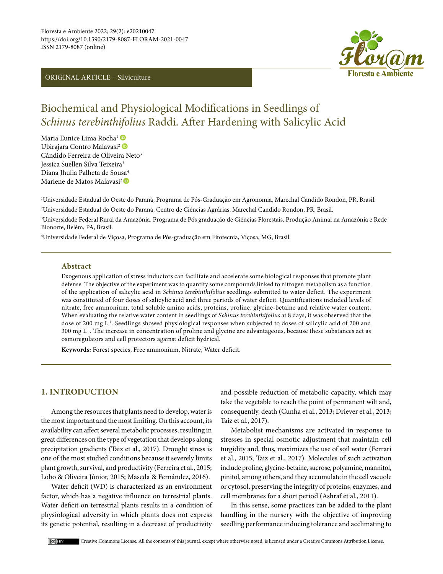#### ORIGINAL ARTICLE – Silviculture



# Biochemical and Physiological Modifications in Seedlings of *Schinus terebinthifolius* Raddi. After Hardening with Salicylic Acid

Maria Eunice Lima Rocha<sup>1</sup> Ubirajara Contro Malavasi<sup>2</sup> Cândido Ferreira de Oliveira Neto<sup>3</sup> Jessica Suellen Silva Teixeira3 Diana Ihulia Palheta de Sousa<sup>4</sup> Marlenede Matos Malavasi<sup>2</sup>

1 Universidade Estadual do Oeste do Paraná, Programa de Pós-Graduação em Agronomia, Marechal Candido Rondon, PR, Brasil. 2 Universidade Estadual do Oeste do Paraná, Centro de Ciências Agrárias, Marechal Candido Rondon, PR, Brasil.

3 Universidade Federal Rural da Amazônia, Programa de Pós graduação de Ciências Florestais, Produção Animal na Amazônia e Rede Bionorte, Belém, PA, Brasil.

4 Universidade Federal de Viçosa, Programa de Pós-graduação em Fitotecnia, Viçosa, MG, Brasil.

#### **Abstract**

Exogenous application of stress inductors can facilitate and accelerate some biological responses that promote plant defense. The objective of the experiment was to quantify some compounds linked to nitrogen metabolism as a function of the application of salicylic acid in *Schinus terebinthifolius* seedlings submitted to water deficit. The experiment was constituted of four doses of salicylic acid and three periods of water deficit. Quantifications included levels of nitrate, free ammonium, total soluble amino acids, proteins, proline, glycine-betaine and relative water content. When evaluating the relative water content in seedlings of *Schinus terebinthifolius* at 8 days, it was observed that the dose of 200 mg L<sup>-1</sup>. Seedlings showed physiological responses when subjected to doses of salicylic acid of 200 and  $300 \text{ mg } L^{-1}$ . The increase in concentration of proline and glycine are advantageous, because these substances act as osmoregulators and cell protectors against deficit hydrical.

**Keywords:** Forest species, Free ammonium, Nitrate, Water deficit.

### **1. INTRODUCTION**

Among the resources that plants need to develop, water is the most important and the most limiting. On this account, its availability can affect several metabolic processes, resulting in great differences on the type of vegetation that develops along precipitation gradients (Taiz et al., 2017). Drought stress is one of the most studied conditions because it severely limits plant growth, survival, and productivity (Ferreira et al., 2015; Lobo & Oliveira Júnior, 2015; Maseda & Fernández, 2016).

Water deficit (WD) is characterized as an environment factor, which has a negative influence on terrestrial plants. Water deficit on terrestrial plants results in a condition of physiological adversity in which plants does not express its genetic potential, resulting in a decrease of productivity

and possible reduction of metabolic capacity, which may take the vegetable to reach the point of permanent wilt and, consequently, death (Cunha et al., 2013; Driever et al., 2013; Taiz et al., 2017).

Metabolist mechanisms are activated in response to stresses in special osmotic adjustment that maintain cell turgidity and, thus, maximizes the use of soil water (Ferrari et al., 2015; Taiz et al., 2017). Molecules of such activation include proline, glycine-betaine, sucrose, polyamine, mannitol, pinitol, among others, and they accumulate in the cell vacuole or cytosol, preserving the integrity of proteins, enzymes, and cell membranes for a short period (Ashraf et al., 2011).

In this sense, some practices can be added to the plant handling in the nursery with the objective of improving seedling performance inducing tolerance and acclimating to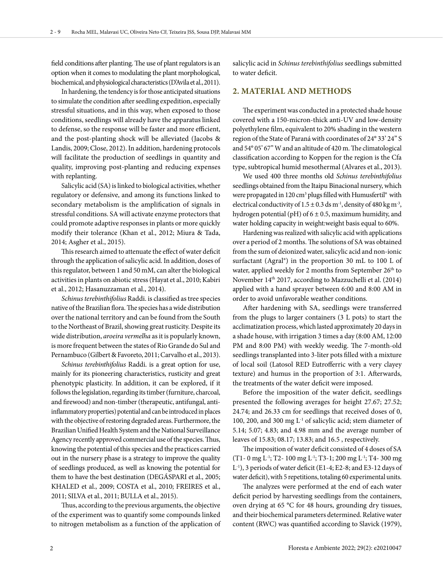field conditions after planting. The use of plant regulators is an option when it comes to modulating the plant morphological, biochemical, and physiological characteristics (D'Avila et al., 2011).

In hardening, the tendency is for those anticipated situations to simulate the condition after seedling expedition, especially stressful situations, and in this way, when exposed to those conditions, seedlings will already have the apparatus linked to defense, so the response will be faster and more efficient, and the post-planting shock will be alleviated (Jacobs & Landis, 2009; Close, 2012). In addition, hardening protocols will facilitate the production of seedlings in quantity and quality, improving post-planting and reducing expenses with replanting.

Salicylic acid (SA) is linked to biological activities, whether regulatory or defensive, and among its functions linked to secondary metabolism is the amplification of signals in stressful conditions. SA will activate enzyme protectors that could promote adaptive responses in plants or more quickly modify their tolerance (Khan et al., 2012; Miura & Tada, 2014; Asgher et al., 2015).

This research aimed to attenuate the effect of water deficit through the application of salicylic acid. In addition, doses of this regulator, between 1 and 50 mM, can alter the biological activities in plants on abiotic stress (Hayat et al., 2010; Kabiri et al., 2012; Hasanuzzaman et al., 2014).

*Schinus terebinthifolius* Raddi. is classified as tree species native of the Brazilian flora. The species has a wide distribution over the national territory and can be found from the South to the Northeast of Brazil, showing great rusticity. Despite its wide distribution, *aroeira vermelha* as it is popularly known, is more frequent between the states of Rio Grande do Sul and Pernambuco (Gilbert & Favoreto, 2011; Carvalho et al., 2013).

*Schinus terebinthifolius* Raddi. is a great option for use, mainly for its pioneering characteristics, rusticity and great phenotypic plasticity. In addition, it can be explored, if it follows the legislation, regarding its timber (furniture, charcoal, and firewood) and non-timber (therapeutic, antifungal, antiinflammatory properties) potential and can be introduced in places with the objective of restoring degraded areas. Furthermore, the Brazilian Unified Health System and the National Surveillance Agency recently approved commercial use of the species. Thus, knowing the potential of this species and the practices carried out in the nursery phase is a strategy to improve the quality of seedlings produced, as well as knowing the potential for them to have the best destination (DEGÁSPARI et al., 2005; KHALED et al., 2009; COSTA et al., 2010; FREIRES et al., 2011; SILVA et al., 2011; BULLA et al., 2015).

Thus, according to the previous arguments, the objective of the experiment was to quantify some compounds linked to nitrogen metabolism as a function of the application of salicylic acid in *Schinus terebinthifolius* seedlings submitted to water deficit.

#### **2. MATERIAL AND METHODS**

The experiment was conducted in a protected shade house covered with a 150-micron-thick anti-UV and low-density polyethylene film, equivalent to 20% shading in the western region of the State of Paraná with coordinates of 24° 33' 24" S and 54° 05' 67" W and an altitude of 420 m. The climatological classification according to Koppen for the region is the Cfa type, subtropical humid mesothermal (Alvares et al., 2013).

We used 400 three months old *Schinus terebinthifolius* seedlings obtained from the Itaipu Binacional nursery, which were propagated in 120 cm<sup>3</sup> plugs filled with Humusfertil<sup>®</sup> with electrical conductivity of  $1.5 \pm 0.3$  ds m<sup>-1</sup>, density of 480 kg m<sup>-3</sup>, hydrogen potential (pH) of  $6 \pm 0.5$ , maximum humidity, and water holding capacity in weight:weight basis equal to 60%.

Hardening was realized with salicylic acid with applications over a period of 2 months. The solutions of SA was obtained from the sum of deionized water, salicylic acid and non-ionic surfactant (Agral®) in the proportion 30 mL to 100 L of water, applied weekly for 2 months from September 26<sup>th</sup> to November 14<sup>th</sup> 2017, according to Mazzuchelli et al. (2014) applied with a hand sprayer between 6:00 and 8:00 AM in order to avoid unfavorable weather conditions.

After hardening with SA, seedlings were transferred from the plugs to larger containers (3 L pots) to start the acclimatization process, which lasted approximately 20 days in a shade house, with irrigation 3 times a day (8:00 AM, 12:00 PM and 8:00 PM) with weekly weedig. The 7-month-old seedlings transplanted into 3-liter pots filled with a mixture of local soil (Latosol RED Eutrofferric with a very clayey texture) and humus in the proportion of 3:1. Afterwards, the treatments of the water deficit were imposed.

Before the imposition of the water deficit, seedlings presented the following averages for height 27.67; 27.52; 24.74; and 26.33 cm for seedlings that received doses of 0, 100, 200, and 300 mg  $L^1$  of salicylic acid; stem diameter of 5.14; 5.07; 4.83; and 4.98 mm and the average number of leaves of 15.83; 08.17; 13.83; and 16.5 , respectively.

The imposition of water deficit consisted of 4 doses of SA  $(T1-0$  mg L<sup>-1</sup>; T2- 100 mg L<sup>-1</sup>; T3-1; 200 mg L<sup>-1</sup>; T4- 300 mg L-1), 3 periods of water deficit (E1-4; E2-8; and E3-12 days of water deficit), with 5 repetitions, totaling 60 experimental units.

The analyzes were performed at the end of each water deficit period by harvesting seedlings from the containers, oven drying at 65 °C for 48 hours, grounding dry tissues, and their biochemical parameters determined. Relative water content (RWC) was quantified according to Slavick (1979),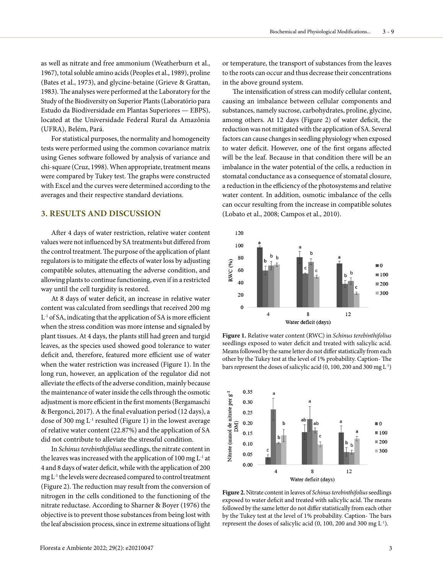as well as nitrate and free ammonium (Weatherburn et al., 1967), total soluble amino acids (Peoples et al., 1989), proline (Bates et al., 1973), and glycine-betaine (Grieve & Grattan, 1983). The analyses were performed at the Laboratory for the Study of the Biodiversity on Superior Plants (Laboratório para Estudo da Biodiversidade em Plantas Superiores — EBPS), located at the Universidade Federal Rural da Amazônia (UFRA), Belém, Pará.

For statistical purposes, the normality and homogeneity tests were performed using the common covariance matrix using Genes software followed by analysis of variance and chi-square (Cruz, 1998). When appropriate, treatment means were compared by Tukey test. The graphs were constructed with Excel and the curves were determined according to the averages and their respective standard deviations.

# **3. RESULTS AND DISCUSSION**

After 4 days of water restriction, relative water content values were not influenced by SA treatments but differed from the control treatment. The purpose of the application of plant regulators is to mitigate the effects of water loss by adjusting compatible solutes, attenuating the adverse condition, and allowing plants to continue functioning, even if in a restricted way until the cell turgidity is restored.

At 8 days of water deficit, an increase in relative water content was calculated from seedlings that received 200 mg  $L<sup>-1</sup>$  of SA, indicating that the application of SA is more efficient when the stress condition was more intense and signaled by plant tissues. At 4 days, the plants still had green and turgid leaves, as the species used showed good tolerance to water deficit and, therefore, featured more efficient use of water when the water restriction was increased (Figure 1). In the long run, however, an application of the regulator did not alleviate the effects of the adverse condition, mainly because the maintenance of water inside the cells through the osmotic adjustment is more efficient in the first moments (Bergamaschi & Bergonci, 2017). A the final evaluation period (12 days), a dose of 300 mg  $L^{-1}$  resulted (Figure 1) in the lowest average of relative water content (22.87%) and the application of SA did not contribute to alleviate the stressful condition.

In *Schinus terebinthifolius* seedlings, the nitrate content in the leaves was increased with the application of 100 mg  $L^{-1}$  at 4 and 8 days of water deficit, while with the application of 200 mg L-1 the levels were decreased compared to control treatment (Figure 2). The reduction may result from the conversion of nitrogen in the cells conditioned to the functioning of the nitrate reductase. According to Sharner & Boyer (1976) the objective is to prevent those substances from being lost with the leaf abscission process, since in extreme situations of light

or temperature, the transport of substances from the leaves to the roots can occur and thus decrease their concentrations in the above ground system.

The intensification of stress can modify cellular content, causing an imbalance between cellular components and substances, namely sucrose, carbohydrates, proline, glycine, among others. At 12 days (Figure 2) of water deficit, the reduction was not mitigated with the application of SA. Several factors can cause changes in seedling physiology when exposed to water deficit. However, one of the first organs affected will be the leaf. Because in that condition there will be an imbalance in the water potential of the cells, a reduction in stomatal conductance as a consequence of stomatal closure, a reduction in the efficiency of the photosystems and relative water content. In addition, osmotic imbalance of the cells can occur resulting from the increase in compatible solutes (Lobato et al., 2008; Campos et al., 2010).



**Figure 1.** Relative water content (RWC) in *Schinus terebinthifolius* seedlings exposed to water deficit and treated with salicylic acid. Means followed by the same letter do not differ statistically from each other by the Tukey test at the level of 1% probability. Caption- The bars represent the doses of salicylic acid (0, 100, 200 and 300 mg L-1)



**Figure 2.** Nitrate content in leaves of *Schinus terebinthifolius* seedlings exposed to water deficit and treated with salicylic acid. The means followed by the same letter do not differ statistically from each other by the Tukey test at the level of 1% probability. Caption- The bars represent the doses of salicylic acid (0, 100, 200 and 300 mg L-1).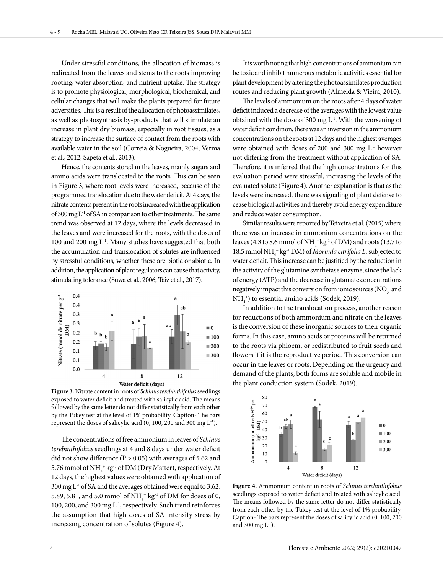Under stressful conditions, the allocation of biomass is redirected from the leaves and stems to the roots improving rooting, water absorption, and nutrient uptake. The strategy is to promote physiological, morphological, biochemical, and cellular changes that will make the plants prepared for future adversities. This is a result of the allocation of photoassimilates, as well as photosynthesis by-products that will stimulate an increase in plant dry biomass, especially in root tissues, as a strategy to increase the surface of contact from the roots with available water in the soil (Correia & Nogueira, 2004; Verma et al., 2012; Sapeta et al., 2013).

Hence, the contents stored in the leaves, mainly sugars and amino acids were translocated to the roots. This can be seen in Figure 3, where root levels were increased, because of the programmed translocation due to the water deficit. At 4 days, the nitrate contents present in the roots increased with the application of 300 mg  $L^1$  of SA in comparison to other treatments. The same trend was observed at 12 days, where the levels decreased in the leaves and were increased for the roots, with the doses of 100 and 200 mg L-1. Many studies have suggested that both the accumulation and translocation of solutes are influenced by stressful conditions, whether these are biotic or abiotic. In addition, the application of plant regulators can cause that activity, stimulating tolerance (Suwa et al., 2006; Taiz et al., 2017).



**Figure 3.** Nitrate content in roots of *Schinus terebinthifolius* seedlings exposed to water deficit and treated with salicylic acid. The means followed by the same letter do not differ statistically from each other by the Tukey test at the level of 1% probability. Caption- The bars represent the doses of salicylic acid (0, 100, 200 and 300 mg L-1).

The concentrations of free ammonium in leaves of *Schinus terebinthifolius* seedlings at 4 and 8 days under water deficit did not show difference ( $P > 0.05$ ) with averages of 5.62 and 5.76 mmol of NH $_4^{\mathrm{+}}$  kg $^{\mathrm{-1}}$  of DM (Dry Matter), respectively. At 12 days, the highest values were obtained with application of 300 mg L-1 of SA and the averages obtained were equal to 3.62, 5.89, 5.81, and 5.0 mmol of  $NH<sub>4</sub><sup>+</sup>$  kg<sup>-1</sup> of DM for doses of 0, 100, 200, and 300 mg L-1, respectively. Such trend reinforces the assumption that high doses of SA intensify stress by increasing concentration of solutes (Figure 4).

It is worth noting that high concentrations of ammonium can be toxic and inhibit numerous metabolic activities essential for plant development by altering the photoassimilates production routes and reducing plant growth (Almeida & Vieira, 2010).

The levels of ammonium on the roots after 4 days of water deficit induced a decrease of the averages with the lowest value obtained with the dose of 300 mg  $L<sup>1</sup>$ . With the worsening of water deficit condition, there was an inversion in the ammonium concentrations on the roots at 12 days and the highest averages were obtained with doses of 200 and 300 mg L-1 however not differing from the treatment without application of SA. Therefore, it is inferred that the high concentrations for this evaluation period were stressful, increasing the levels of the evaluated solute (Figure 4). Another explanation is that as the levels were increased, there was signaling of plant defense to cease biological activities and thereby avoid energy expenditure and reduce water consumption.

Similar results were reported by Teixeira et al*.* (2015) where there was an increase in ammonium concentrations on the leaves (4.3 to 8.6 mmol of  $NH_4^+kg^1$  of DM) and roots (13.7 to 18.5 mmol NH4 + kg-1 DM) of *Morinda citrifolia L.* subjected to water deficit. This increase can be justified by the reduction in the activity of the glutamine synthetase enzyme, since the lack of energy (ATP) and the decrease in glutamate concentrations negatively impact this conversion from ionic sources (NO $_{\rm 3}$  and  $NH<sub>4</sub><sup>+</sup>$ ) to essential amino acids (Sodek, 2019).

In addition to the translocation process, another reason for reductions of both ammonium and nitrate on the leaves is the conversion of these inorganic sources to their organic forms. In this case, amino acids or proteins will be returned to the roots via phloem, or redistributed to fruit seeds and flowers if it is the reproductive period. This conversion can occur in the leaves or roots. Depending on the urgency and demand of the plants, both forms are soluble and mobile in the plant conduction system (Sodek, 2019).



**Figure 4.** Ammonium content in roots of *Schinus terebinthifolius* seedlings exposed to water deficit and treated with salicylic acid. The means followed by the same letter do not differ statistically from each other by the Tukey test at the level of 1% probability. Caption- The bars represent the doses of salicylic acid (0, 100, 200 and 300 mg  $L^{-1}$ ).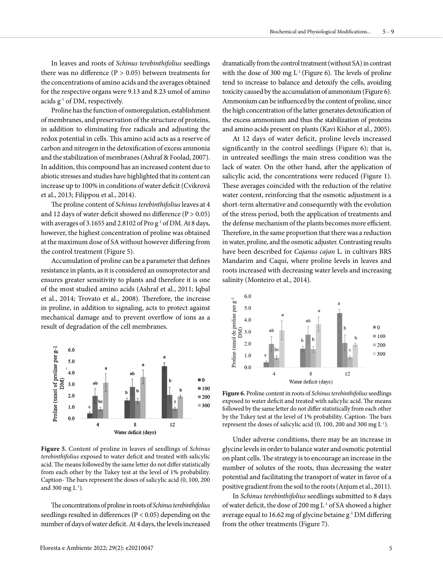In leaves and roots of *Schinus terebinthifolius* seedlings there was no difference ( $P > 0.05$ ) between treatments for the concentrations of amino acids and the averages obtained for the respective organs were 9.13 and 8.23 umol of amino acids g-1 of DM, respectively.

Proline has the function of osmoregulation, establishment of membranes, and preservation of the structure of proteins, in addition to eliminating free radicals and adjusting the redox potential in cells. This amino acid acts as a reserve of carbon and nitrogen in the detoxification of excess ammonia and the stabilization of membranes (Ashraf & Foolad, 2007). In addition, this compound has an increased content due to abiotic stresses and studies have highlighted that its content can increase up to 100% in conditions of water deficit (Cvikrová et al., 2013; Filippou et al., 2014).

The proline content of *Schinus terebinthifolius* leaves at 4 and 12 days of water deficit showed no difference  $(P > 0.05)$ with averages of 3.1655 and 2.8102 of Pro  $g^{-1}$  of DM. At 8 days, however, the highest concentration of proline was obtained at the maximum dose of SA without however differing from the control treatment (Figure 5).

Accumulation of proline can be a parameter that defines resistance in plants, as it is considered an osmoprotector and ensures greater sensitivity to plants and therefore it is one of the most studied amino acids (Ashraf et al., 2011; Iqbal et al., 2014; Trovato et al., 2008). Therefore, the increase in proline, in addition to signaling, acts to protect against mechanical damage and to prevent overflow of ions as a result of degradation of the cell membranes.



**Figure 5.** Content of proline in leaves of seedlings of *Schinus terebinthifolius* exposed to water deficit and treated with salicylic acid. The means followed by the same letter do not differ statistically from each other by the Tukey test at the level of 1% probability. Caption- The bars represent the doses of salicylic acid (0, 100, 200 and 300 mg  $L^{-1}$ ).

The concentrations of proline in roots of *Schinus terebinthifolius* seedlings resulted in differences (P < 0.05) depending on the number of days of water deficit. At 4 days, the levels increased

dramatically from the control treatment (without SA) in contrast with the dose of 300 mg  $L^1$  (Figure 6). The levels of proline tend to increase to balance and detoxify the cells, avoiding toxicity caused by the accumulation of ammonium (Figure 6). Ammonium can be influenced by the content of proline, since the high concentration of the latter generates detoxification of the excess ammonium and thus the stabilization of proteins and amino acids present on plants (Kavi Kishor et al., 2005).

At 12 days of water deficit, proline levels increased significantly in the control seedlings (Figure 6); that is, in untreated seedlings the main stress condition was the lack of water. On the other hand, after the application of salicylic acid, the concentrations were reduced (Figure 1). These averages coincided with the reduction of the relative water content, reinforcing that the osmotic adjustment is a short-term alternative and consequently with the evolution of the stress period, both the application of treatments and the defense mechanism of the plants becomes more efficient. Therefore, in the same proportion that there was a reduction in water, proline, and the osmotic adjuster. Contrasting results have been described for *Cajanus cajan* L. in cultivars BRS Mandarim and Caqui, where proline levels in leaves and roots increased with decreasing water levels and increasing salinity (Monteiro et al., 2014).



**Figure 6.** Proline content in roots of *Schinus terebinthifolius* seedlings exposed to water deficit and treated with salicylic acid. The means followed by the same letter do not differ statistically from each other by the Tukey test at the level of 1% probability. Caption- The bars represent the doses of salicylic acid (0, 100, 200 and 300 mg L-1).

Under adverse conditions, there may be an increase in glycine levels in order to balance water and osmotic potential on plant cells. The strategy is to encourage an increase in the number of solutes of the roots, thus decreasing the water potential and facilitating the transport of water in favor of a positive gradient from the soil to the roots (Anjum et al., 2011).

In *Schinus terebinthifolius* seedlings submitted to 8 days of water deficit, the dose of 200 mg L-1 of SA showed a higher average equal to 16.62 mg of glycine betaine g-1 DM differing from the other treatments (Figure 7).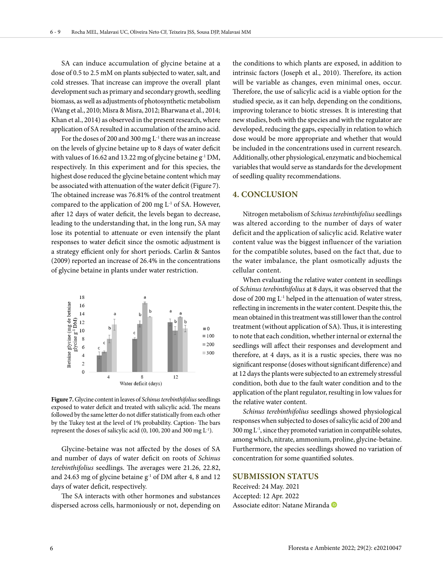SA can induce accumulation of glycine betaine at a dose of 0.5 to 2.5 mM on plants subjected to water, salt, and cold stresses. That increase can improve the overall plant development such as primary and secondary growth, seedling biomass, as well as adjustments of photosynthetic metabolism (Wang et al., 2010; Misra & Misra, 2012; Bharwana et al., 2014; Khan et al., 2014) as observed in the present research, where application of SA resulted in accumulation of the amino acid.

For the doses of 200 and 300 mg L<sup>-1</sup> there was an increase on the levels of glycine betaine up to 8 days of water deficit with values of 16.62 and 13.22 mg of glycine betaine g<sup>-1</sup> DM, respectively. In this experiment and for this species, the highest dose reduced the glycine betaine content which may be associated with attenuation of the water deficit (Figure 7). The obtained increase was 76.81% of the control treatment compared to the application of 200 mg  $L^{-1}$  of SA. However, after 12 days of water deficit, the levels began to decrease, leading to the understanding that, in the long run, SA may lose its potential to attenuate or even intensify the plant responses to water deficit since the osmotic adjustment is a strategy efficient only for short periods. Carlin & Santos (2009) reported an increase of 26.4% in the concentrations of glycine betaine in plants under water restriction.



**Figure 7.** Glycine content in leaves of *Schinus terebinthifolius* seedlings exposed to water deficit and treated with salicylic acid. The means followed by the same letter do not differ statistically from each other by the Tukey test at the level of 1% probability. Caption- The bars represent the doses of salicylic acid (0, 100, 200 and 300 mg L-1).

Glycine-betaine was not affected by the doses of SA and number of days of water deficit on roots of *Schinus terebinthifolius* seedlings. The averages were 21.26, 22.82, and 24.63 mg of glycine betaine g<sup>-1</sup> of DM after 4, 8 and 12 days of water deficit, respectively.

The SA interacts with other hormones and substances dispersed across cells, harmoniously or not, depending on

the conditions to which plants are exposed, in addition to intrinsic factors (Joseph et al., 2010). Therefore, its action will be variable as changes, even minimal ones, occur. Therefore, the use of salicylic acid is a viable option for the studied specie, as it can help, depending on the conditions, improving tolerance to biotic stresses. It is interesting that new studies, both with the species and with the regulator are developed, reducing the gaps, especially in relation to which dose would be more appropriate and whether that would be included in the concentrations used in current research. Additionally, other physiological, enzymatic and biochemical variables that would serve as standards for the development of seedling quality recommendations.

#### **4. CONCLUSION**

Nitrogen metabolism of *Schinus terebinthifolius* seedlings was altered according to the number of days of water deficit and the application of salicylic acid. Relative water content value was the biggest influencer of the variation for the compatible solutes, based on the fact that, due to the water imbalance, the plant osmotically adjusts the cellular content.

When evaluating the relative water content in seedlings of *Schinus terebinthifolius* at 8 days, it was observed that the dose of 200 mg L-1 helped in the attenuation of water stress, reflecting in increments in the water content. Despite this, the mean obtained in this treatment was still lower than the control treatment (without application of SA). Thus, it is interesting to note that each condition, whether internal or external the seedlings will affect their responses and development and therefore, at 4 days, as it is a rustic species, there was no significant response (doses without significant difference) and at 12 days the plants were subjected to an extremely stressful condition, both due to the fault water condition and to the application of the plant regulator, resulting in low values for the relative water content.

*Schinus terebinthifolius* seedlings showed physiological responses when subjected to doses of salicylic acid of 200 and  $300 \,\mathrm{mg} \, \mathrm{L}^{\text{-1}}$ , since they promoted variation in compatible solutes, among which, nitrate, ammonium, proline, glycine-betaine. Furthermore, the species seedlings showed no variation of concentration for some quantified solutes.

#### **SUBMISSION STATUS**

Received: 24 May. 2021 Accepted: 12 Apr. 2022 Associate editor: Natane Miranda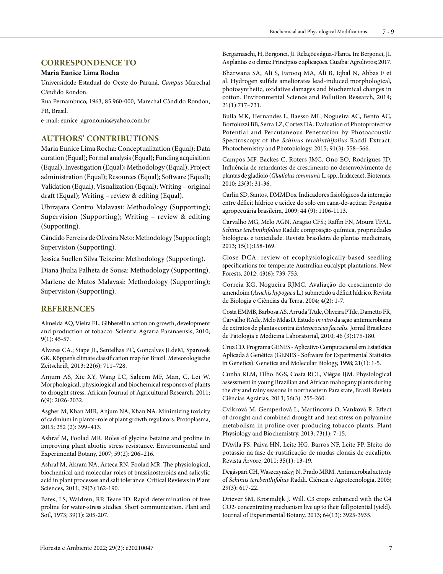#### **CORRESPONDENCE TO**

#### **Maria Eunice Lima Rocha**

Universidade Estadual do Oeste do Paraná, *Campus* Marechal Cândido Rondon.

Rua Pernambuco, 1963, 85.960-000, Marechal Cândido Rondon, PR, Brasil.

e-mail: eunice\_agronomia@yahoo.com.br

### **AUTHORS' CONTRIBUTIONS**

Maria Eunice Lima Rocha: Conceptualization (Equal); Data curation (Equal); Formal analysis (Equal); Funding acquisition (Equal); Investigation (Equal); Methodology (Equal); Project administration (Equal); Resources (Equal); Software (Equal); Validation (Equal); Visualization (Equal); Writing – original draft (Equal); Writing – review & editing (Equal).

Ubirajara Contro Malavasi: Methodology (Supporting); Supervision (Supporting); Writing – review & editing (Supporting).

Cândido Ferreira de Oliveira Neto: Methodology (Supporting); Supervision (Supporting).

Jessica Suellen Silva Teixeira: Methodology (Supporting).

Diana Jhulia Palheta de Sousa: Methodology (Supporting).

Marlene de Matos Malavasi: Methodology (Supporting); Supervision (Supporting).

## **REFERENCES**

Almeida AQ, Vieira EL. Gibberellin action on growth, development and production of tobacco. Scientia Agraria Paranaensis, 2010; 9(1): 45-57.

Alvares CA.; Stape JL, Sentelhas PC, Gonçalves JLdeM, Sparovek GK. Köppen's climate classification map for Brazil. Meteorologische Zeitschrift, 2013; 22(6): 711–728.

Anjum AS, Xie XY, Wang LC, Saleem MF, Man, C, Lei W. Morphological, physiological and biochemical responses of plants to drought stress. African Journal of Agricultural Research, 2011; 6(9): 2026-2032.

Asgher M, Khan MIR, Anjum NA, Khan NA. Minimizing toxicity of cadmium in plants–role of plant growth regulators. Protoplasma, 2015; 252 (2): 399–413.

Ashraf M, Foolad MR. Roles of glycine betaine and proline in improving plant abiotic stress resistance. Environmental and Experimental Botany, 2007; 59(2): 206–216.

Ashraf M, Akram NA, Arteca RN, Foolad MR. The physiological, biochemical and molecular roles of brassinosteroids and salicylic acid in plant processes and salt tolerance. Critical Reviews in Plant Sciences, 2011; 29(3):162-190.

Bates, LS, Waldren, RP, Teare ID. Rapid determination of free proline for water-stress studies. Short communication. Plant and Soil, 1973; 39(1): 205-207.

Bergamaschi, H, Bergonci, JI. Relações água-Planta. In: Bergonci, JI. As plantas e o clima: Princípios e aplicações. Guaíba: Agrolivros; 2017.

Bharwana SA, Ali S, Farooq MA, Ali B, Iqbal N, Abbas F et al. Hydrogen sulfide ameliorates lead-induced morphological, photosynthetic, oxidative damages and biochemical changes in cotton. Environmental Science and Pollution Research, 2014; 21(1):717–731.

Bulla MK, Hernandes L, Baesso ML, Nogueira AC, Bento AC, Bortoluzzi BB, Serra LZ, Cortez DA. Evaluation of Photoprotective Potential and Percutaneous Penetration by Photoacoustic Spectroscopy of the *Schinus terebinthifolius* Raddi Extract. Photochemistry and Photobiology, 2015; 91(3): 558–566.

Campos MF, Backes C, Roters JMC, Ono EO, Rodrigues JD. Influência de retardantes de crescimento no desenvolvimento de plantas de gladíolo (*Gladiolus communis* L. spp., Iridaceae). Biotemas, 2010; 23(3): 31-36.

Carlin SD, Santos, DMMDos. Indicadores fisiológicos da interação entre déficit hídrico e acidez do solo em cana-de-açúcar. Pesquisa agropecuária brasileira, 2009; 44 (9): 1106-1113.

Carvalho MG, Melo AGN, Aragão CFS.; Raffin FN, Moura TFAL. *Schinus terebinthifolius* Raddi: composição química, propriedades biológicas e toxicidade. Revista brasileira de plantas medicinais, 2013; 15(1):158-169.

Close DCA. review of ecophysiologically-based seedling specifications for temperate Australian eucalypt plantations. New Forests, 2012; 43(6): 739-753.

Correia KG, Nogueira RJMC. Avaliação do crescimento do amendoim (*Arachis hypogaea* L.) submetido a déficit hídrico. Revista de Biologia e Ciências da Terra, 2004; 4(2): 1-7.

Costa EMMB, Barbosa AS, Arruda TAde, Oliveira PTde, Dametto FR, Carvalho RAde, Melo MdasD. Estudo *in vitro* da ação antimicrobiana de extratos de plantas contra *Enterococcus faecalis.* Jornal Brasileiro de Patologia e Medicina Laboratorial, 2010; 46 (3):175-180.

Cruz CD. Programa GENES - Aplicativo Computacional em Estatística Aplicada à Genética (GENES - Software for Experimental Statistics in Genetics). Genetics and Molecular Biology, 1998; 21(1): 1-5.

Cunha RLM, Filho BGS, Costa RCL, Viégas IJM. Physiological assessment in young Brazilian and African mahogany plants during the dry and rainy seasons in northeastern Para state, Brazil. Revista Ciências Agrárias, 2013; 56(3): 255-260.

Cvikrová M, Gemperlová L, Martincová O, Vanková R. Effect of drought and combined drought and heat stress on polyamine metabolism in proline over producing tobacco plants. Plant Physiology and Biochemistry, 2013; 73(1): 7-15.

D'Avila FS, Paiva HN, Leite HG, Barros NF, Leite FP. Efeito do potássio na fase de rustificação de mudas clonais de eucalipto. Revista Árvore, 2011; 35(1): 13-19.

Degáspari CH, Waszczynskyj N, Prado MRM. Antimicrobial activity of *Schinus terebenthifolius* Raddi. Ciência e Agrotecnologia, 2005; 29(3): 617-22.

Driever SM, Krormdijk J. Will. C3 crops enhanced with the C4 CO2- concentrating mechanism live up to their full potential (yield). Journal of Experimental Botany, 2013; 64(13): 3925-3935.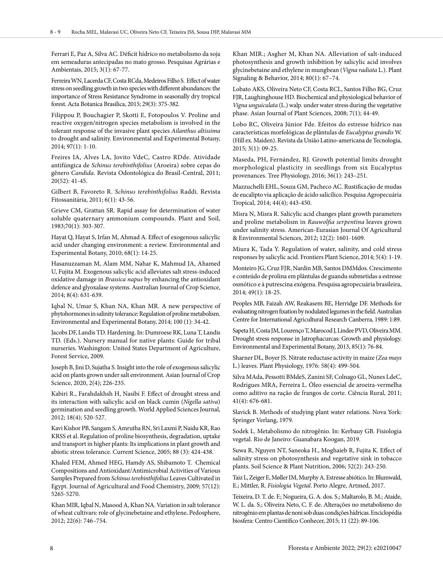Ferrari E, Paz A, Silva AC. Déficit hídrico no metabolismo da soja em semeaduras antecipadas no mato grosso. Pesquisas Agrárias e Ambientais, 2015; 3(1): 67-77.

Ferreira WN, Lacerda CF, Costa RCda, Medeiros Filho S. Effect of water stress on seedling growth in two species with different abundances: the importance of Stress Resistance Syndrome in seasonally dry tropical forest. Acta Botanica Brasilica, 2015; 29(3): 375-382.

Filippou P, Bouchagier P, Skotti E, Fotopoulos V. Proline and reactive oxygen/nitrogen species metabolism is involved in the tolerant response of the invasive plant species *Ailanthus altissima*  to drought and salinity. Environmental and Experimental Botany, 2014; 97(1): 1-10.

Freires IA, Alves LA, Jovito VdeC, Castro RDde. Atividade antifúngica de *Schinus terebinthifolius* (Aroeira) sobre cepas do gênero *Candida*. Revista Odontológica do Brasil-Central, 2011; 20(52): 41-45.

Gilbert B, Favoreto R. *Schinus terebinthifolius* Raddi. Revista Fitossanitária, 2011; 6(1): 43-56.

Grieve CM, Grattan SR. Rapid assay for determination of water soluble quaternary ammonium compounds. Plant and Soil, 1983;70(1): 303-307.

Hayat Q, Hayat S, Irfan M, Ahmad A. Effect of exogenous salicylic acid under changing environment: a review. Environmental and Experimental Botany, 2010; 68(1): 14-25.

Hasanuzzaman M, Alam MM, Nahar K, Mahmud JA, Ahamed U, Fujita M. Exogenous salicylic acid alleviates salt stress-induced oxidative damage in *Brassica napus* by enhancing the antioxidant defence and glyoxalase systems. Australian Journal of Crop Science, 2014; 8(4): 631-639.

Iqbal N, Umar S, Khan NA, Khan MR. A new perspective of phytohormones in salinity tolerance: Regulation of proline metabolism. Environmental and Experimental Botany, 2014; 100 (1): 34-42.

Jacobs DF, Landis TD. Hardening. In: Dumroese RK, Luna T, Landis TD. (Eds.). Nursery manual for native plants: Guide for tribal nurseries. Washington: United States Department of Agriculture, Forest Service, 2009.

Joseph B, Jini D, Sujatha S. Insight into the role of exogenous salicylic acid on plants grown under salt environment. Asian Journal of Crop Science, 2020, 2(4); 226-235.

Kabiri R., Farahdakhsh H, Nasibi F. Effect of drought stress and its interaction with salicylic acid on black cumin (*Nigella sativa*) germination and seedling growth. World Applied Sciences Journal, 2012; 18(4); 520-527.

Kavi Kishor PB, Sangam S, Amrutha RN, Sri Laxmi P, Naidu KR, Rao KRSS et al. Regulation of proline biosynthesis, degradation, uptake and transport in higher plants: Its implications in plant growth and abiotic stress tolerance. Current Science, 2005; 88 (3): 424-438.

Khaled FEM, Ahmed HEG, Hamdy AS, Shibamoto T. Chemical Compositions and Antioxidant/Antimicrobial Activities of Various Samples Prepared from *Schinus terebinthifolius* Leaves Cultivated in Egypt. Journal of Agricultural and Food Chemistry, 2009; 57(12): 5265-5270.

Khan MIR, Iqbal N, Masood A, Khan NA. Variation in salt tolerance of wheat cultivars: role of glycinebetaine and ethylene**.** Pedosphere, 2012; 22(6): 746–754.

Khan MIR.; Asgher M, Khan NA. Alleviation of salt-induced photosynthesis and growth inhibition by salicylic acid involves glycinebetaine and ethylene in mungbean (*Vigna radiata* L.). Plant Signaling & Behavior, 2014; 80(1): 67–74.

Lobato AKS, Oliveira Neto CF, Costa RCL, Santos Filho BG, Cruz FJR, Laughinghouse HD. Biochemical and physiological behavior of *Vigna unguiculata* (L.) walp. under water stress during the vegetative phase. Asian Journal of Plant Sciences, 2008; 7(1); 44-49.

Lobo RC, Oliveira Júnior Fde. Efeitos do estresse hídrico nas características morfológicas de plântulas de *Eucalyptus grandis* W. (Hill ex. Maiden). Revista da União Latino-americana de Tecnologia, 2015; 3(1): 09-25.

Maseda, PH, Fernández, RJ. Growth potential limits drought morphological plasticity in seedlings from six Eucalyptus provenances. Tree Physiology, 2016; 36(1): 243–251.

Mazzuchelli EHL, Souza GM, Pacheco AC. Rustificação de mudas de eucalipto via aplicação de ácido salicílico. Pesquisa Agropecuária Tropical, 2014; 44(4); 443-450.

Misra N, Misra R. Salicylic acid changes plant growth parameters and proline metabolism in *Rauwolfia serpentina* leaves grown under salinity stress. American-Eurasian Journal Of Agricultural & Environmental Sciences, 2012; 12(2): 1601-1609.

Miura K, Tada Y. Regulation of water, salinity, and cold stress responses by salicylic acid. Frontiers Plant Science, 2014; 5(4): 1-19.

Monteiro JG, Cruz FJR, Nardin MB, Santos DMMdos. Crescimento e conteúdo de prolina em plântulas de guandu submetidas a estresse osmótico e à putrescina exógena. Pesquisa agropecuária brasileira, 2014; 49(1): 18-25.

Peoples MB, Faizah AW, Reakasem BE, Herridge DF. Methods for evaluating nitrogen fixation by nodulated legumes in the field. Australian Centre for International Agricultural Research Canberra, 1989: 1:89.

Sapeta H, Costa JM, Lourenço T, Marocod J, Lindee PVD, Oliveira MM. Drought stress response in Jatrophacurcas: Growth and physiology. Environmental and Experimental Botany, 2013, 85(1): 76-84.

Sharner DL, Boyer JS. Nitrate reductase activity in maize (*Zea mays* L.) leaves. Plant Physiology, 1976: 58(4): 499-504.

Silva MAda, Pessotti BMdeS, Zanini SF, Colnago GL, Nunes LdeC, Rodrigues MRA, Ferreira L. Óleo essencial de aroeira-vermelha como aditivo na ração de frangos de corte. Ciência Rural, 2011; 41(4): 676-681.

Slavick B. Methods of studying plant water relations. Nova York: Springer Verlang, 1979.

Sodek L. Metabolismo do nitrogênio. In: Kerbauy GB. Fisiologia vegetal. Rio de Janeiro: Guanabara Koogan, 2019.

Suwa R, Nguyen NT, Saneoka H., Moghaieb R, Fujita K. Effect of salinity stress on photosynthesis and vegetative sink in tobacco plants. Soil Science & Plant Nutrition, 2006; 52(2): 243-250.

Taiz L, Zeiger E, Møller IM, Murphy A. Estresse abiótico. In: Blumwald, E.; Mittler, R. *Fisiologia Vegetal*. Porto Alegre, Artmed, 2017.

Teixeira, D. T. de. F.; Nogueira, G. A. dos. S.; Maltarolo, B. M.; Ataíde, W. L. da. S.; Oliveira Neto, C. F. de. Alterações no metabolismo do nitrogênio em plantas de noni sob duas condições hídricas. Enciclopédia biosfera: Centro Científico Conhecer, 2015; 11 (22): 89-106.